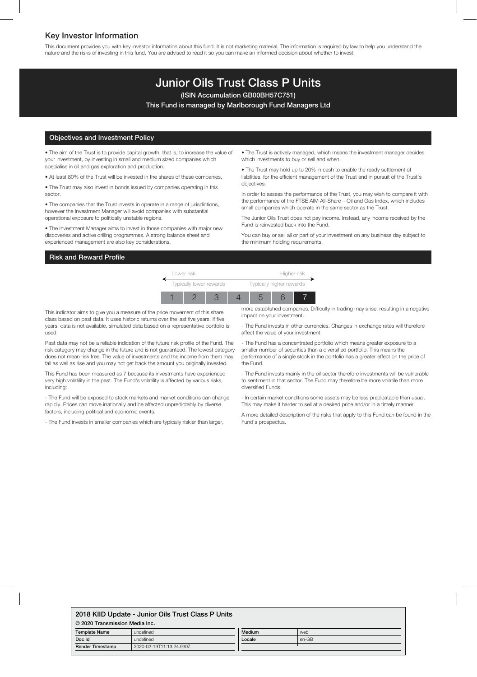# Key Investor Information

This document provides you with key investor information about this fund. It is not marketing material. The information is required by law to help you understand the nature and the risks of investing in this fund. You are advised to read it so you can make an informed decision about whether to invest.

# Junior Oils Trust Class P Units

(ISIN Accumulation GB00BH57C751)

This Fund is managed by Marlborough Fund Managers Ltd

### Objectives and Investment Policy

• The aim of the Trust is to provide capital growth, that is, to increase the value of your investment, by investing in small and medium sized companies which specialise in oil and gas exploration and production.

• At least 80% of the Trust will be invested in the shares of these companies.

• The Trust may also invest in bonds issued by companies operating in this sector.

• The companies that the Trust invests in operate in a range of jurisdictions, however the Investment Manager will avoid companies with substantial operational exposure to politically unstable regions.

• The Investment Manager aims to invest in those companies with major new discoveries and active drilling programmes. A strong balance sheet and experienced management are also key considerations.

• The Trust is actively managed, which means the investment manager decides which investments to buy or sell and when.

• The Trust may hold up to 20% in cash to enable the ready settlement of liabilities, for the efficient management of the Trust and in pursuit of the Trust's objectives.

In order to assess the performance of the Trust, you may wish to compare it with the performance of the FTSE AIM All-Share – Oil and Gas Index, which includes small companies which operate in the same sector as the Trust.

The Junior Oils Trust does not pay income. Instead, any income received by the Fund is reinvested back into the Fund.

You can buy or sell all or part of your investment on any business day subject to the minimum holding requirements.

### Risk and Reward Profile

Lower risk Higher risk Typically lower rewards Typically higher rewards 1 2 3 4 5 6 7

This indicator aims to give you a measure of the price movement of this share class based on past data. It uses historic returns over the last five years. If five years' data is not available, simulated data based on a representative portfolio is used.

Past data may not be a reliable indication of the future risk profile of the Fund. The risk category may change in the future and is not guaranteed. The lowest category does not mean risk free. The value of investments and the income from them may fall as well as rise and you may not get back the amount you originally invested.

This Fund has been measured as 7 because its investments have experienced very high volatility in the past. The Fund's volatility is affected by various risks, including:

- The Fund will be exposed to stock markets and market conditions can change rapidly. Prices can move irrationally and be affected unpredictably by diverse factors, including political and economic events.

- The Fund invests in smaller companies which are typically riskier than larger,

more established companies. Difficulty in trading may arise, resulting in a negative impact on your investment.

- The Fund invests in other currencies. Changes in exchange rates will therefore affect the value of your investment.

- The Fund has a concentrated portfolio which means greater exposure to a smaller number of securities than a diversified portfolio. This means the performance of a single stock in the portfolio has a greater effect on the price of the Fund.

- The Fund invests mainly in the oil sector therefore investments will be vulnerable to sentiment in that sector. The Fund may therefore be more volatile than more diversified Funds.

- In certain market conditions some assets may be less predicatable than usual. This may make it harder to sell at a desired price and/or In a timely manner.

A more detailed description of the risks that apply to this Fund can be found in the Fund's prospectus.